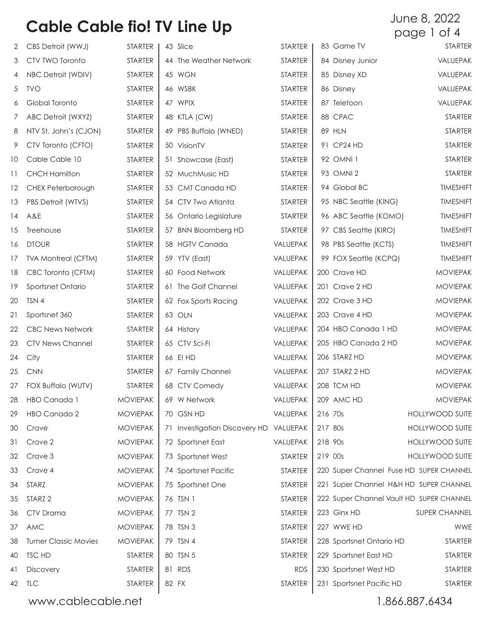| 2               | CBS Detroit (WWJ)            | STARTER         | 43 Slice                      | STARTER        |         | 83 Game TV                               | <b>STARTER</b>         |
|-----------------|------------------------------|-----------------|-------------------------------|----------------|---------|------------------------------------------|------------------------|
| 3               | CTV TWO Toronto              | <b>STARTER</b>  | 44 The Weather Network        | <b>STARTER</b> |         | 84 Disney Junior                         | VALUEPAK               |
| 4               | NBC Detroit (WDIV)           | STARTER         | 45 WGN                        | <b>STARTER</b> |         | 85 Disney XD                             | VALUEPAK               |
| 5               | <b>TVO</b>                   | <b>STARTER</b>  | 46 WSBK                       | <b>STARTER</b> |         | 86 Disney                                | VALUEPAK               |
| 6               | Global Toronto               | <b>STARTER</b>  | 47 WPIX                       | <b>STARTER</b> |         | 87 Teletoon                              | VALUEPAK               |
| 7               | ABC Detroit (WXYZ)           | <b>STARTER</b>  | 48 KTLA (CW)                  | <b>STARTER</b> |         | 88 CPAC                                  | <b>STARTER</b>         |
| 8               | NTV St. John's (CJON)        | <b>STARTER</b>  | 49 PBS Buffalo (WNED)         | STARTER        |         | <b>89 HLN</b>                            | <b>STARTER</b>         |
| 9               | CTV Toronto (CFTO)           | STARTER         | 50 VisionTV                   | <b>STARTER</b> |         | 91 CP24 HD                               | <b>STARTER</b>         |
| 10 <sup>°</sup> | Cable Cable 10               | <b>STARTER</b>  | 51 Showcase (East)            | <b>STARTER</b> |         | 92 OMNI 1                                | <b>STARTER</b>         |
| 11              | <b>CHCH Hamilton</b>         | <b>STARTER</b>  | 52 MuchMusic HD               | <b>STARTER</b> |         | 93 OMNI 2                                | <b>STARTER</b>         |
| 12              | CHEX Peterborough            | <b>STARTER</b>  | 53 CMT Canada HD              | <b>STARTER</b> |         | 94 Global BC                             | <b>TIMESHIFT</b>       |
| 13              | PBS Detroit (WTVS)           | <b>STARTER</b>  | 54 CTV Two Atlanta            | <b>STARTER</b> |         | 95 NBC Seattle (KING)                    | <b>TIMESHIFT</b>       |
| 14              | A&E                          | <b>STARTER</b>  | 56 Ontario Legislature        | <b>STARTER</b> |         | 96 ABC Seattle (KOMO)                    | <b>TIMESHIFT</b>       |
| 15              | Treehouse                    | <b>STARTER</b>  | 57 BNN Bloomberg HD           | <b>STARTER</b> |         | 97 CBS Seattle (KIRO)                    | <b>TIMESHIFT</b>       |
| 16              | <b>DTOUR</b>                 | <b>STARTER</b>  | 58 HGTV Canada                | VALUEPAK       |         | 98 PBS Seattle (KCTS)                    | <b>TIMESHIFT</b>       |
| 17              | <b>TVA Montreal (CFTM)</b>   | <b>STARTER</b>  | 59 YTV (East)                 | VALUEPAK       |         | 99 FOX Seattle (KCPQ)                    | <b>TIMESHIFT</b>       |
| 18              | CBC Toronto (CFTM)           | <b>STARTER</b>  | 60 Food Network               | VALUEPAK       |         | 200 Crave HD                             | <b>MOVIEPAK</b>        |
| 19              | Sportsnet Ontario            | <b>STARTER</b>  | 61 The Golf Channel           | VALUEPAK       |         | 201 Crave 2 HD                           | <b>MOVIEPAK</b>        |
| 20              | TSN 4                        | <b>STARTER</b>  | 62 Fox Sports Racing          | VALUEPAK       |         | 202 Crave 3 HD                           | <b>MOVIEPAK</b>        |
| 21              | Sportsnet 360                | <b>STARTER</b>  | 63 OLN                        | VALUEPAK       |         | 203 Crave 4 HD                           | <b>MOVIEPAK</b>        |
| 22              | <b>CBC News Network</b>      | <b>STARTER</b>  | 64 History                    | VALUEPAK       |         | 204 HBO Canada 1 HD                      | <b>MOVIEPAK</b>        |
| 23              | <b>CTV News Channel</b>      | <b>STARTER</b>  | 65 CTV Sci-Fi                 | VALUEPAK       |         | 205 HBO Canada 2 HD                      | <b>MOVIEPAK</b>        |
| 24              | City                         | <b>STARTER</b>  | 66 E! HD                      | VALUEPAK       |         | 206 STARZ HD                             | <b>MOVIEPAK</b>        |
| 25              | <b>CNN</b>                   | <b>STARTER</b>  | 67 Family Channel             | VALUEPAK       |         | 207 STARZ 2 HD                           | <b>MOVIEPAK</b>        |
| 27              | FOX Buffalo (WUTV)           | <b>STARTER</b>  | 68 CTV Comedy                 | VALUEPAK       |         | 208 TCM HD                               | <b>MOVIEPAK</b>        |
| 28              | HBO Canada 1                 | <b>MOVIEPAK</b> | 69 W Network                  | VALUEPAK       |         | 209 AMC HD                               | <b>MOVIEPAK</b>        |
| 29              | HBO Canada 2                 | <b>MOVIEPAK</b> | 70 GSN HD                     | VALUEPAK       | 216 70s |                                          | <b>HOLLYWOOD SUITE</b> |
| 30              | Crave                        | <b>MOVIEPAK</b> | 71 Investigation Discovery HD | VALUEPAK       | 217 80s |                                          | <b>HOLLYWOOD SUITE</b> |
| 31              | Crave 2                      | <b>MOVIEPAK</b> | 72 Sportsnet East             | VALUEPAK       | 218 90s |                                          | <b>HOLLYWOOD SUITE</b> |
| 32              | Crave 3                      | <b>MOVIEPAK</b> | 73 Sportsnet West             | <b>STARTER</b> | 219 OOs |                                          | <b>HOLLYWOOD SUITE</b> |
| 33              | Crave 4                      | <b>MOVIEPAK</b> | 74 Sportsnet Pacific          | <b>STARTER</b> |         | 220 Super Channel Fuse HD SUPER CHANNEL  |                        |
| 34              | STARZ                        | <b>MOVIEPAK</b> | 75 Sportsnet One              | <b>STARTER</b> |         | 221 Super Channel H&H HD SUPER CHANNEL   |                        |
| 35              | STARZ <sub>2</sub>           | <b>MOVIEPAK</b> | 76 TSN 1                      | <b>STARTER</b> |         | 222 Super Channel Vault HD SUPER CHANNEL |                        |
| 36              | CTV Drama                    | <b>MOVIEPAK</b> | 77 TSN 2                      | <b>STARTER</b> |         | 223 Ginx HD                              | SUPER CHANNEL          |
| 37              | AMC                          | <b>MOVIEPAK</b> | 78 TSN 3                      | <b>STARTER</b> |         | 227 WWE HD                               | WWE                    |
| 38              | <b>Turner Classic Movies</b> | <b>MOVIEPAK</b> | 79 TSN 4                      | <b>STARTER</b> |         | 228 Sportsnet Ontario HD                 | STARTER                |
| 40              | <b>TSC HD</b>                | <b>STARTER</b>  | 80 TSN 5                      | <b>STARTER</b> |         | 229 Sportsnet East HD                    | STARTER                |
| 41              | <b>Discovery</b>             | <b>STARTER</b>  | 81 RDS                        | <b>RDS</b>     |         | 230 Sportsnet West HD                    | STARTER                |
| 42              | <b>TLC</b>                   | <b>STARTER</b>  | 82 FX                         | <b>STARTER</b> |         | 231 Sportsnet Pacific HD                 | <b>STARTER</b>         |

www.cablecable.net 1.866.887.6434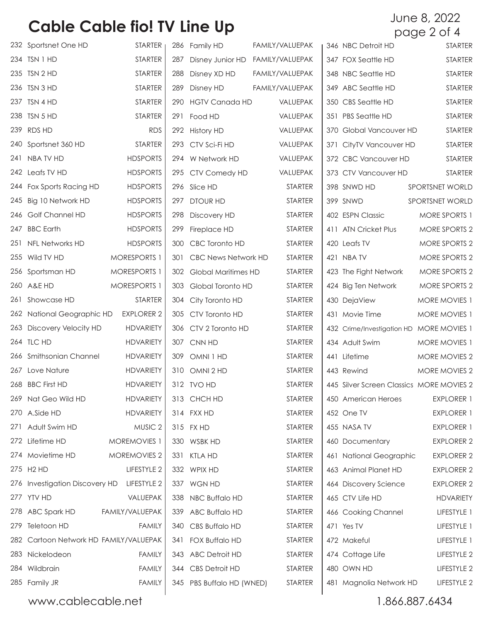|     | 232 Sportsnet One HD                   | <b>STARTER</b>      |     | 286 Family HD              | FAMILY/VALUEPAK | 346 NBC Detroit HD                       | STARTER                                  |
|-----|----------------------------------------|---------------------|-----|----------------------------|-----------------|------------------------------------------|------------------------------------------|
|     | 234 TSN 1 HD                           | <b>STARTER</b>      | 287 | Disney Junior HD           | FAMILY/VALUEPAK | 347 FOX Seattle HD                       | <b>STARTER</b>                           |
|     | 235 TSN 2 HD                           | <b>STARTER</b>      | 288 | Disney XD HD               | FAMILY/VALUEPAK | 348 NBC Seattle HD                       | STARTER                                  |
|     | 236 TSN 3 HD                           | <b>STARTER</b>      | 289 | Disney HD                  | FAMILY/VALUEPAK | 349 ABC Seattle HD                       | STARTER                                  |
|     | 237 TSN 4 HD                           | <b>STARTER</b>      |     | 290 HGTV Canada HD         | VALUEPAK        | 350 CBS Seattle HD                       | <b>STARTER</b>                           |
|     | 238 TSN 5 HD                           | <b>STARTER</b>      | 291 | Food HD                    | VALUEPAK        | 351 PBS Seattle HD                       | <b>STARTER</b>                           |
|     | 239 RDS HD                             | <b>RDS</b>          |     | 292 History HD             | VALUEPAK        | 370 Global Vancouver HD                  | <b>STARTER</b>                           |
|     | 240 Sportsnet 360 HD                   | <b>STARTER</b>      |     | 293 CTV Sci-Fi HD          | VALUEPAK        | 371 CityTV Vancouver HD                  | <b>STARTER</b>                           |
|     | 241 NBA TV HD                          | <b>HDSPORTS</b>     |     | 294 W Network HD           | VALUEPAK        | 372 CBC Vancouver HD                     | <b>STARTER</b>                           |
|     | 242 Leafs TV HD                        | <b>HDSPORTS</b>     |     | 295 CTV Comedy HD          | VALUEPAK        | 373 CTV Vancouver HD                     | <b>STARTER</b>                           |
|     | 244 Fox Sports Racing HD               | <b>HDSPORTS</b>     |     | 296 Slice HD               | <b>STARTER</b>  | 398 SNWD HD                              | SPORTSNET WORLD                          |
| 245 | Big 10 Network HD                      | <b>HDSPORTS</b>     | 297 | <b>DTOUR HD</b>            | <b>STARTER</b>  | 399 SNWD                                 | SPORTSNET WORLD                          |
|     | 246 Golf Channel HD                    | <b>HDSPORTS</b>     |     | 298 Discovery HD           | <b>STARTER</b>  | 402 ESPN Classic                         | MORE SPORTS 1                            |
| 247 | <b>BBC Earth</b>                       | <b>HDSPORTS</b>     | 299 | Fireplace HD               | <b>STARTER</b>  | 411 ATN Cricket Plus                     | MORE SPORTS 2                            |
|     | 251 NFL Networks HD                    | <b>HDSPORTS</b>     |     | 300 CBC Toronto HD         | <b>STARTER</b>  | 420 Leafs TV                             | MORE SPORTS 2                            |
|     | 255 Wild TV HD                         | <b>MORESPORTS 1</b> | 301 | <b>CBC News Network HD</b> | <b>STARTER</b>  | 421 NBA TV                               | MORE SPORTS 2                            |
|     | 256 Sportsman HD                       | <b>MORESPORTS 1</b> |     | 302 Global Maritimes HD    | <b>STARTER</b>  | 423 The Fight Network                    | MORE SPORTS 2                            |
|     | 260 A&E HD                             | <b>MORESPORTS 1</b> | 303 | Global Toronto HD          | <b>STARTER</b>  | 424 Big Ten Network                      | MORE SPORTS 2                            |
|     | 261 Showcase HD                        | <b>STARTER</b>      |     | 304 City Toronto HD        | <b>STARTER</b>  | 430 DejaView                             | MORE MOVIES 1                            |
|     | 262 National Geographic HD             | <b>EXPLORER 2</b>   |     | 305 CTV Toronto HD         | <b>STARTER</b>  | 431 Movie Time                           | MORE MOVIES 1                            |
|     | 263 Discovery Velocity HD              | <b>HDVARIETY</b>    |     | 306 CTV 2 Toronto HD       | <b>STARTER</b>  | 432 Crime/Investigation HD MORE MOVIES 1 |                                          |
|     | 264 TLC HD                             | <b>HDVARIETY</b>    |     | 307 CNN HD                 | <b>STARTER</b>  | 434 Adult Swim                           | MORE MOVIES 1                            |
|     | 266 Smithsonian Channel                | <b>HDVARIETY</b>    |     | 309 OMNI 1 HD              | <b>STARTER</b>  | 441 Lifetime                             | MORE MOVIES 2                            |
| 267 | Love Nature                            | <b>HDVARIETY</b>    |     | 310 OMNI 2 HD              | <b>STARTER</b>  | 443 Rewind                               | MORE MOVIES 2                            |
|     | 268 BBC First HD                       | <b>HDVARIETY</b>    |     | 312 TVO HD                 | <b>STARTER</b>  |                                          | 445 Silver Screen Classics MORE MOVIES 2 |
|     | 269 Nat Geo Wild HD                    | <b>HDVARIETY</b>    |     | 313 CHCH HD                | <b>STARTER</b>  | 450 American Heroes                      | <b>EXPLORER 1</b>                        |
|     | 270 A.Side HD                          | <b>HDVARIETY</b>    |     | 314 FXX HD                 | <b>STARTER</b>  | 452 One TV                               | <b>EXPLORER 1</b>                        |
|     | 271 Adult Swim HD                      | MUSIC <sub>2</sub>  |     | 315 FX HD                  | <b>STARTER</b>  | 455 NASA TV                              | <b>EXPLORER 1</b>                        |
|     | 272 Lifetime HD                        | MOREMOVIES 1        |     | 330 WSBK HD                | <b>STARTER</b>  | 460 Documentary                          | <b>EXPLORER 2</b>                        |
|     | 274 Movietime HD                       | MOREMOVIES 2        |     | 331 KTLA HD                | <b>STARTER</b>  | 461 National Geographic                  | <b>EXPLORER 2</b>                        |
|     | 275 H2 HD                              | LIFESTYLE 2         |     | 332 WPIX HD                | <b>STARTER</b>  | 463 Animal Planet HD                     | <b>EXPLORER 2</b>                        |
|     | 276 Investigation Discovery HD         | LIFESTYLE 2         |     | 337 WGN HD                 | <b>STARTER</b>  | 464 Discovery Science                    | <b>EXPLORER 2</b>                        |
|     | 277 YTV HD                             | VALUEPAK            |     | 338 NBC Buffalo HD         | <b>STARTER</b>  | 465 CTV Life HD                          | <b>HDVARIETY</b>                         |
|     | 278 ABC Spark HD                       | FAMILY/VALUEPAK     |     | 339 ABC Buffalo HD         | <b>STARTER</b>  | 466 Cooking Channel                      | LIFESTYLE 1                              |
|     | 279 Teletoon HD                        | <b>FAMILY</b>       |     | 340 CBS Buffalo HD         | <b>STARTER</b>  | 471 Yes TV                               | LIFESTYLE 1                              |
|     | 282 Cartoon Network HD FAMILY/VALUEPAK |                     |     | 341 FOX Buffalo HD         | <b>STARTER</b>  | 472 Makeful                              | LIFESTYLE 1                              |
|     | 283 Nickelodeon                        | <b>FAMILY</b>       |     | 343 ABC Detroit HD         | <b>STARTER</b>  | 474 Cottage Life                         | LIFESTYLE 2                              |
|     | 284 Wildbrain                          | <b>FAMILY</b>       |     | 344 CBS Detroit HD         | <b>STARTER</b>  | 480 OWN HD                               | LIFESTYLE 2                              |
|     | 285 Family JR                          | <b>FAMILY</b>       |     | 345 PBS Buffalo HD (WNED)  | STARTER         | 481 Magnolia Network HD                  | LIFESTYLE 2                              |
|     |                                        |                     |     |                            |                 |                                          |                                          |

www.cablecable.net  $\qquad$  1.866.887.6434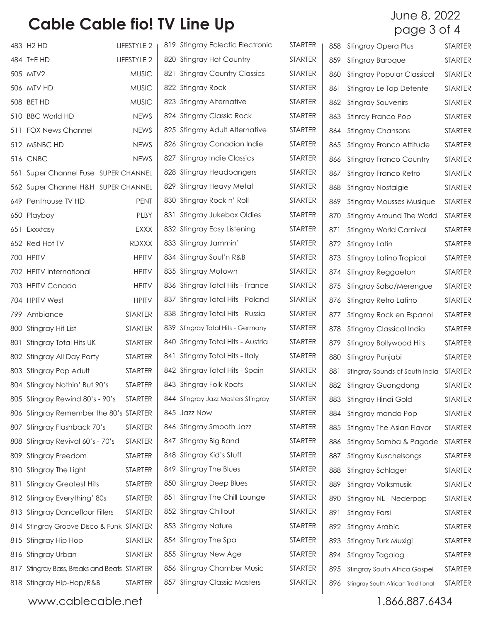|     | 483 H2 HD                                | LIFESTYLE 2    | 819 Stingray Eclectic Electronic   | <b>STARTER</b> | 858 | Stingray Opera Plus                 | ST, |
|-----|------------------------------------------|----------------|------------------------------------|----------------|-----|-------------------------------------|-----|
|     | 484 T+E HD                               | LIFESTYLE 2    | 820 Stingray Hot Country           | <b>STARTER</b> | 859 | <b>Stingray Baroque</b>             | ST, |
|     | 505 MTV2                                 | <b>MUSIC</b>   | 821 Stingray Country Classics      | STARTER        | 860 | <b>Stingray Popular Classical</b>   | ST, |
|     | 506 MTV HD                               | <b>MUSIC</b>   | 822 Stingray Rock                  | STARTER        | 861 | Stingray Le Top Detente             | ST, |
|     | 508 BET HD                               | <b>MUSIC</b>   | 823 Stingray Alternative           | <b>STARTER</b> |     | 862 Stingray Souvenirs              | ST, |
|     | 510 BBC World HD                         | <b>NEWS</b>    | 824 Stingray Classic Rock          | STARTER        | 863 | Stinray Franco Pop                  | ST, |
|     | 511 FOX News Channel                     | <b>NEWS</b>    | 825 Stingray Adult Alternative     | <b>STARTER</b> | 864 | <b>Stingray Chansons</b>            | ST, |
|     | 512 MSNBC HD                             | <b>NEWS</b>    | 826 Stingray Canadian Indie        | <b>STARTER</b> | 865 | Stingray Franco Attitude            | ST, |
|     | <b>516 CNBC</b>                          | <b>NEWS</b>    | 827 Stingray Indie Classics        | <b>STARTER</b> | 866 | <b>Stingray Franco Country</b>      | ST, |
| 561 | Super Channel Fuse SUPER CHANNEL         |                | 828 Stingray Headbangers           | <b>STARTER</b> | 867 | Stingray Franco Retro               | ST, |
|     | 562 Super Channel H&H SUPER CHANNEL      |                | 829 Stingray Heavy Metal           | <b>STARTER</b> | 868 | Stingray Nostalgie                  | ST, |
|     | 649 Penthouse TV HD                      | <b>PENT</b>    | 830 Stingray Rock n' Roll          | <b>STARTER</b> | 869 | <b>Stingray Mousses Musique</b>     | ST, |
|     | 650 Playboy                              | PLBY           | 831 Stingray Jukebox Oldies        | <b>STARTER</b> | 870 | Stingray Around The World           | ST, |
|     | 651 Exxxtasy                             | <b>EXXX</b>    | 832 Stingray Easy Listening        | STARTER        | 871 | Stingray World Carnival             | ST, |
|     | 652 Red Hot TV                           | <b>RDXXX</b>   | 833 Stingray Jammin'               | <b>STARTER</b> |     | 872 Stingray Latin                  | ST, |
|     | 700 HPITV                                | <b>HPITV</b>   | 834 Stingray Soul'n R&B            | STARTER        | 873 | Stingray Latino Tropical            | ST, |
|     | 702 HPITV International                  | <b>HPITV</b>   | 835 Stingray Motown                | <b>STARTER</b> | 874 | Stingray Reggaeton                  | ST, |
|     | 703 HPITV Canada                         | <b>HPITV</b>   | 836 Stingray Total Hits - France   | STARTER        | 875 | Stingray Salsa/Merengue             | ST, |
|     | 704 HPITV West                           | <b>HPITV</b>   | 837 Stingray Total Hits - Poland   | <b>STARTER</b> | 876 | Stingray Retro Latino               | ST, |
|     | 799 Ambiance                             | <b>STARTER</b> | 838 Stingray Total Hits - Russia   | <b>STARTER</b> | 877 | Stingray Rock en Espanol            | ST, |
|     | 800 Stingray Hit List                    | <b>STARTER</b> | 839 Stingray Total Hits - Germany  | <b>STARTER</b> | 878 | Stingray Classical India            | ST, |
| 801 | Stingray Total Hits UK                   | <b>STARTER</b> | 840 Stingray Total Hits - Austria  | <b>STARTER</b> | 879 | Stingray Bollywood Hits             | ST, |
|     | 802 Stingray All Day Party               | <b>STARTER</b> | 841 Stingray Total Hits - Italy    | <b>STARTER</b> | 880 | Stingray Punjabi                    | ST, |
|     | 803 Stingray Pop Adult                   | <b>STARTER</b> | 842 Stingray Total Hits - Spain    | <b>STARTER</b> | 881 | Stingray Sounds of South India      | ST, |
|     | 804 Stingray Nothin' But 90's            | <b>STARTER</b> | 843 Stingray Folk Roots            | <b>STARTER</b> | 882 | <b>Stingray Guangdong</b>           | ST, |
|     | 805 Stingray Rewind 80's - 90's          | <b>STARTER</b> | 844 Stingray Jazz Masters Stingray | STARTER        | 883 | Stingray Hindi Gold                 | ST, |
|     | 806 Stingray Remember the 80's STARTER   |                | 845 Jazz Now                       | STARTER        | 884 | Stingray mando Pop                  | ST, |
|     | 807 Stingray Flashback 70's              | <b>STARTER</b> | 846 Stingray Smooth Jazz           | STARTER        | 885 | Stingray The Asian Flavor           | ST, |
|     | 808 Stingray Revival 60's - 70's         | <b>STARTER</b> | 847 Stingray Big Band              | STARTER        | 886 | Stingray Samba & Pagode             | ST, |
|     | 809 Stingray Freedom                     | <b>STARTER</b> | 848 Stingray Kid's Stuff           | STARTER        | 887 | <b>Stingray Kuschelsongs</b>        | ST, |
|     | 810 Stingray The Light                   | <b>STARTER</b> | 849 Stingray The Blues             | STARTER        | 888 | Stingray Schlager                   | ST, |
| 811 | <b>Stingray Greatest Hits</b>            | <b>STARTER</b> | 850 Stingray Deep Blues            | STARTER        | 889 | Stingray Volksmusik                 | ST, |
|     | 812 Stingray Everything' 80s             | <b>STARTER</b> | 851 Stingray The Chill Lounge      | STARTER        | 890 | Stingray NL - Nederpop              | ST, |
|     | 813 Stingray Dancefloor Fillers          | <b>STARTER</b> | 852 Stingray Chillout              | STARTER        | 891 | Stingray Farsi                      | ST, |
|     | 814 Stingray Groove Disco & Funk STARTER |                | 853 Stingray Nature                | STARTER        | 892 | <b>Stingray Arabic</b>              | ST, |
|     | 815 Stingray Hip Hop                     | <b>STARTER</b> | 854 Stingray The Spa               | STARTER        | 893 | Stingray Turk Muxigi                | ST, |
|     | 816 Stingray Urban                       | <b>STARTER</b> | 855 Stingray New Age               | STARTER        | 894 | Stingray Tagalog                    | ST, |
| 817 | Stingray Bass, Breaks and Beats STARTER  |                | 856 Stingray Chamber Music         | STARTER        | 895 | <b>Stingray South Africa Gospel</b> | ST, |
|     | 818 Stingray Hip-Hop/R&B                 | <b>STARTER</b> | 857 Stingray Classic Masters       | STARTER        | 896 | Stingray South African Traditional  | ST, |
|     | www.cablecable.net                       |                |                                    |                |     | 1.866.887.6434                      |     |

STARTER STARTER STARTER STARTER STARTER STARTER STARTER STARTER STARTER STARTER STARTER STARTER STARTER STARTER STARTER STARTER STARTER STARTER STARTER STARTER STARTER STARTER STARTER STARTER STARTER STARTER STARTER STARTER STARTER STARTER STARTER STARTER STARTER STARTER STARTER STARTER STARTER STARTER STARTER